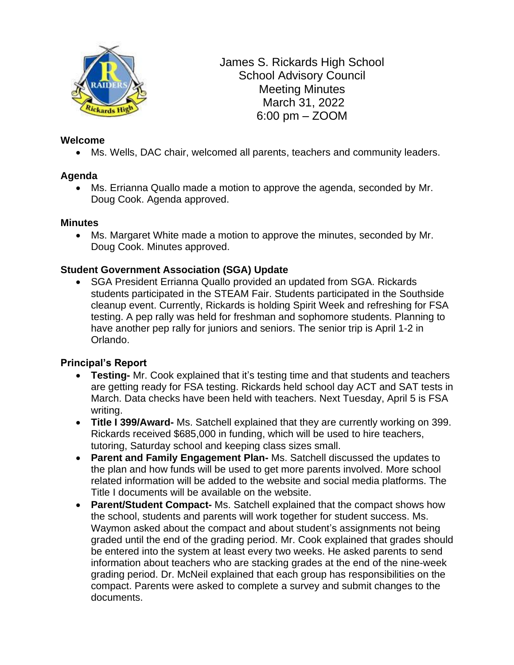

James S. Rickards High School School Advisory Council Meeting Minutes March 31, 2022 6:00 pm – ZOOM

### **Welcome**

• Ms. Wells, DAC chair, welcomed all parents, teachers and community leaders.

## **Agenda**

• Ms. Errianna Quallo made a motion to approve the agenda, seconded by Mr. Doug Cook. Agenda approved.

### **Minutes**

• Ms. Margaret White made a motion to approve the minutes, seconded by Mr. Doug Cook. Minutes approved.

### **Student Government Association (SGA) Update**

• SGA President Errianna Quallo provided an updated from SGA. Rickards students participated in the STEAM Fair. Students participated in the Southside cleanup event. Currently, Rickards is holding Spirit Week and refreshing for FSA testing. A pep rally was held for freshman and sophomore students. Planning to have another pep rally for juniors and seniors. The senior trip is April 1-2 in Orlando.

### **Principal's Report**

- **Testing-** Mr. Cook explained that it's testing time and that students and teachers are getting ready for FSA testing. Rickards held school day ACT and SAT tests in March. Data checks have been held with teachers. Next Tuesday, April 5 is FSA writing.
- **Title I 399/Award-** Ms. Satchell explained that they are currently working on 399. Rickards received \$685,000 in funding, which will be used to hire teachers, tutoring, Saturday school and keeping class sizes small.
- **Parent and Family Engagement Plan-** Ms. Satchell discussed the updates to the plan and how funds will be used to get more parents involved. More school related information will be added to the website and social media platforms. The Title I documents will be available on the website.
- **Parent/Student Compact-** Ms. Satchell explained that the compact shows how the school, students and parents will work together for student success. Ms. Waymon asked about the compact and about student's assignments not being graded until the end of the grading period. Mr. Cook explained that grades should be entered into the system at least every two weeks. He asked parents to send information about teachers who are stacking grades at the end of the nine-week grading period. Dr. McNeil explained that each group has responsibilities on the compact. Parents were asked to complete a survey and submit changes to the documents.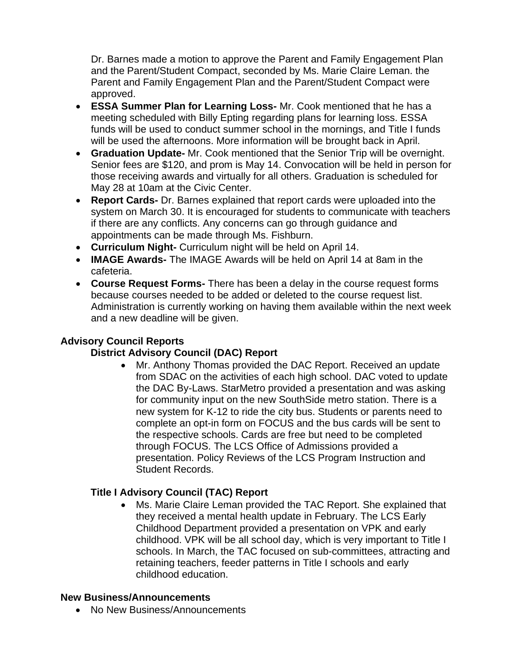Dr. Barnes made a motion to approve the Parent and Family Engagement Plan and the Parent/Student Compact, seconded by Ms. Marie Claire Leman. the Parent and Family Engagement Plan and the Parent/Student Compact were approved.

- **ESSA Summer Plan for Learning Loss-** Mr. Cook mentioned that he has a meeting scheduled with Billy Epting regarding plans for learning loss. ESSA funds will be used to conduct summer school in the mornings, and Title I funds will be used the afternoons. More information will be brought back in April.
- **Graduation Update-** Mr. Cook mentioned that the Senior Trip will be overnight. Senior fees are \$120, and prom is May 14. Convocation will be held in person for those receiving awards and virtually for all others. Graduation is scheduled for May 28 at 10am at the Civic Center.
- **Report Cards-** Dr. Barnes explained that report cards were uploaded into the system on March 30. It is encouraged for students to communicate with teachers if there are any conflicts. Any concerns can go through guidance and appointments can be made through Ms. Fishburn.
- **Curriculum Night-** Curriculum night will be held on April 14.
- **IMAGE Awards-** The IMAGE Awards will be held on April 14 at 8am in the cafeteria.
- **Course Request Forms-** There has been a delay in the course request forms because courses needed to be added or deleted to the course request list. Administration is currently working on having them available within the next week and a new deadline will be given.

## **Advisory Council Reports**

## **District Advisory Council (DAC) Report**

• Mr. Anthony Thomas provided the DAC Report. Received an update from SDAC on the activities of each high school. DAC voted to update the DAC By-Laws. StarMetro provided a presentation and was asking for community input on the new SouthSide metro station. There is a new system for K-12 to ride the city bus. Students or parents need to complete an opt-in form on FOCUS and the bus cards will be sent to the respective schools. Cards are free but need to be completed through FOCUS. The LCS Office of Admissions provided a presentation. Policy Reviews of the LCS Program Instruction and Student Records.

### **Title I Advisory Council (TAC) Report**

• Ms. Marie Claire Leman provided the TAC Report. She explained that they received a mental health update in February. The LCS Early Childhood Department provided a presentation on VPK and early childhood. VPK will be all school day, which is very important to Title I schools. In March, the TAC focused on sub-committees, attracting and retaining teachers, feeder patterns in Title I schools and early childhood education.

### **New Business/Announcements**

• No New Business/Announcements